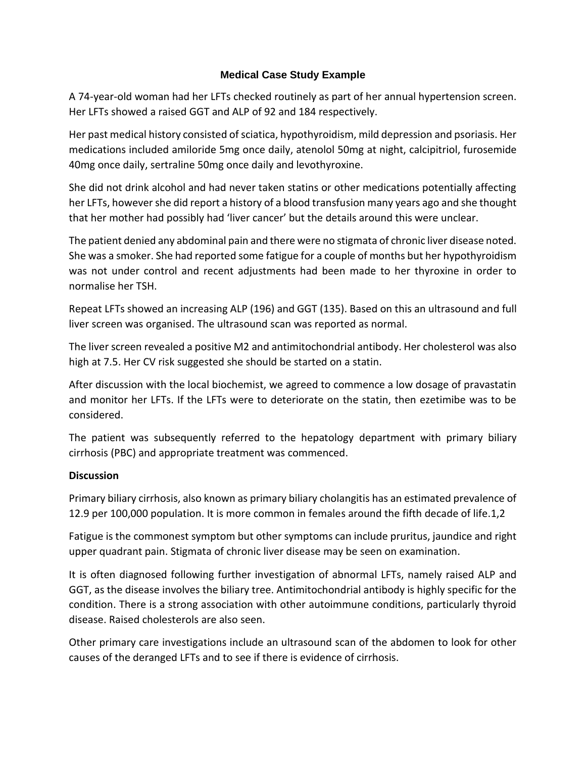## **Medical Case Study Example**

A 74-year-old woman had her LFTs checked routinely as part of her annual hypertension screen. Her LFTs showed a raised GGT and ALP of 92 and 184 respectively.

Her past medical history consisted of sciatica, hypothyroidism, mild depression and psoriasis. Her medications included amiloride 5mg once daily, atenolol 50mg at night, calcipitriol, furosemide 40mg once daily, sertraline 50mg once daily and levothyroxine.

She did not drink alcohol and had never taken statins or other medications potentially affecting her LFTs, however she did report a history of a blood transfusion many years ago and she thought that her mother had possibly had 'liver cancer' but the details around this were unclear.

The patient denied any abdominal pain and there were no stigmata of chronic liver disease noted. She was a smoker. She had reported some fatigue for a couple of months but her hypothyroidism was not under control and recent adjustments had been made to her thyroxine in order to normalise her TSH.

Repeat LFTs showed an increasing ALP (196) and GGT (135). Based on this an ultrasound and full liver screen was organised. The ultrasound scan was reported as normal.

The liver screen revealed a positive M2 and antimitochondrial antibody. Her cholesterol was also high at 7.5. Her CV risk suggested she should be started on a statin.

After discussion with the local biochemist, we agreed to commence a low dosage of pravastatin and monitor her LFTs. If the LFTs were to deteriorate on the statin, then ezetimibe was to be considered.

The patient was subsequently referred to the hepatology department with primary biliary cirrhosis (PBC) and appropriate treatment was commenced.

## **Discussion**

Primary biliary cirrhosis, also known as primary biliary cholangitis has an estimated prevalence of 12.9 per 100,000 population. It is more common in females around the fifth decade of life.1,2

Fatigue is the commonest symptom but other symptoms can include pruritus, jaundice and right upper quadrant pain. Stigmata of chronic liver disease may be seen on examination.

It is often diagnosed following further investigation of abnormal LFTs, namely raised ALP and GGT, as the disease involves the biliary tree. Antimitochondrial antibody is highly specific for the condition. There is a strong association with other autoimmune conditions, particularly thyroid disease. Raised cholesterols are also seen.

Other primary care investigations include an ultrasound scan of the abdomen to look for other causes of the deranged LFTs and to see if there is evidence of cirrhosis.